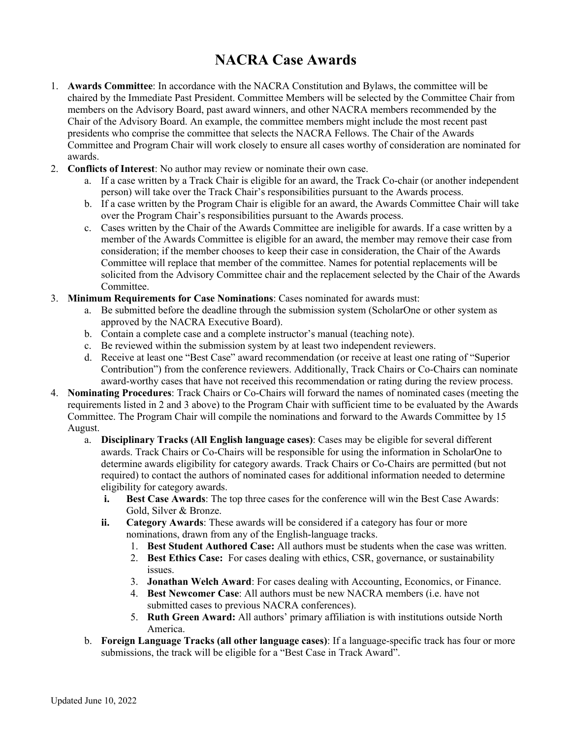## **NACRA Case Awards**

- 1. **Awards Committee**: In accordance with the NACRA Constitution and Bylaws, the committee will be chaired by the Immediate Past President. Committee Members will be selected by the Committee Chair from members on the Advisory Board, past award winners, and other NACRA members recommended by the Chair of the Advisory Board. An example, the committee members might include the most recent past presidents who comprise the committee that selects the NACRA Fellows. The Chair of the Awards Committee and Program Chair will work closely to ensure all cases worthy of consideration are nominated for awards.
- 2. **Conflicts of Interest**: No author may review or nominate their own case.
	- a. If a case written by a Track Chair is eligible for an award, the Track Co-chair (or another independent person) will take over the Track Chair's responsibilities pursuant to the Awards process.
	- b. If a case written by the Program Chair is eligible for an award, the Awards Committee Chair will take over the Program Chair's responsibilities pursuant to the Awards process.
	- c. Cases written by the Chair of the Awards Committee are ineligible for awards. If a case written by a member of the Awards Committee is eligible for an award, the member may remove their case from consideration; if the member chooses to keep their case in consideration, the Chair of the Awards Committee will replace that member of the committee. Names for potential replacements will be solicited from the Advisory Committee chair and the replacement selected by the Chair of the Awards Committee.
- 3. **Minimum Requirements for Case Nominations**: Cases nominated for awards must:
	- a. Be submitted before the deadline through the submission system (ScholarOne or other system as approved by the NACRA Executive Board).
	- b. Contain a complete case and a complete instructor's manual (teaching note).
	- c. Be reviewed within the submission system by at least two independent reviewers.
	- d. Receive at least one "Best Case" award recommendation (or receive at least one rating of "Superior Contribution") from the conference reviewers. Additionally, Track Chairs or Co-Chairs can nominate award-worthy cases that have not received this recommendation or rating during the review process.
- 4. **Nominating Procedures**: Track Chairs or Co-Chairs will forward the names of nominated cases (meeting the requirements listed in 2 and 3 above) to the Program Chair with sufficient time to be evaluated by the Awards Committee. The Program Chair will compile the nominations and forward to the Awards Committee by 15 August.
	- a. **Disciplinary Tracks (All English language cases)**: Cases may be eligible for several different awards. Track Chairs or Co-Chairs will be responsible for using the information in ScholarOne to determine awards eligibility for category awards. Track Chairs or Co-Chairs are permitted (but not required) to contact the authors of nominated cases for additional information needed to determine eligibility for category awards.
		- **i. Best Case Awards**: The top three cases for the conference will win the Best Case Awards: Gold, Silver & Bronze.
		- **ii. Category Awards**: These awards will be considered if a category has four or more nominations, drawn from any of the English-language tracks.
			- 1. **Best Student Authored Case:** All authors must be students when the case was written.
			- 2. **Best Ethics Case:** For cases dealing with ethics, CSR, governance, or sustainability issues.
			- 3. **Jonathan Welch Award**: For cases dealing with Accounting, Economics, or Finance.
			- 4. **Best Newcomer Case**: All authors must be new NACRA members (i.e. have not submitted cases to previous NACRA conferences).
			- 5. **Ruth Green Award:** All authors' primary affiliation is with institutions outside North America.
	- b. **Foreign Language Tracks (all other language cases)**: If a language-specific track has four or more submissions, the track will be eligible for a "Best Case in Track Award".